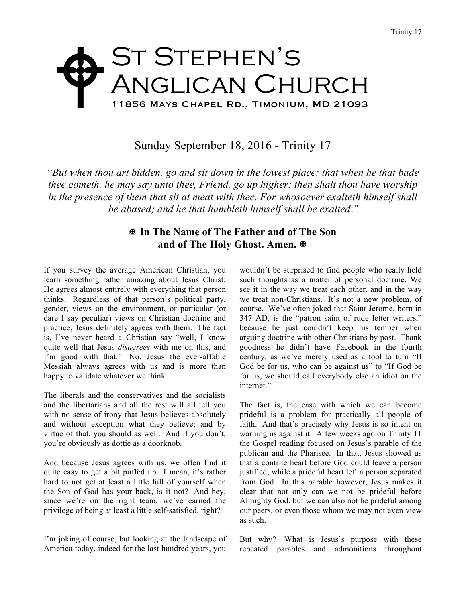## ST STEPHEN'S Anglican Church 11856 Mays Chapel Rd., Timonium, MD 21093 W

## Sunday September 18, 2016 - Trinity 17

*"But when thou art bidden, go and sit down in the lowest place; that when he that bade thee cometh, he may say unto thee, Friend, go up higher: then shalt thou have worship in the presence of them that sit at meat with thee. For whosoever exalteth himself shall be abased; and he that humbleth himself shall be exalted."*

## X **In The Name of The Father and of The Son and of The Holy Ghost. Amen.** X

If you survey the average American Christian, you learn something rather amazing about Jesus Christ: He agrees almost entirely with everything that person thinks. Regardless of that person's political party, gender, views on the environment, or particular (or dare I say peculiar) views on Christian doctrine and practice, Jesus definitely agrees with them. The fact is, I've never heard a Christian say "well, I know quite well that Jesus *disagrees* with me on this, and I'm good with that." No, Jesus the ever-affable Messiah always agrees with us and is more than happy to validate whatever we think.

The liberals and the conservatives and the socialists and the libertarians and all the rest will all tell you with no sense of irony that Jesus believes absolutely and without exception what they believe; and by virtue of that, you should as well. And if you don't, you're obviously as dottie as a doorknob.

And because Jesus agrees with us, we often find it quite easy to get a bit puffed up. I mean, it's rather hard to not get at least a little full of yourself when the Son of God has your back, is it not? And hey, since we're on the right team, we've earned the privilege of being at least a little self-satisfied, right?

I'm joking of course, but looking at the landscape of America today, indeed for the last hundred years, you

wouldn't be surprised to find people who really held such thoughts as a matter of personal doctrine. We see it in the way we treat each other, and in the way we treat non-Christians. It's not a new problem, of course. We've often joked that Saint Jerome, born in 347 AD, is the "patron saint of rude letter writers," because he just couldn't keep his temper when arguing doctrine with other Christians by post. Thank goodness he didn't have Facebook in the fourth century, as we've merely used as a tool to turn "If God be for us, who can be against us" to "If God be for us, we should call everybody else an idiot on the internet."

The fact is, the ease with which we can become prideful is a problem for practically all people of faith. And that's precisely why Jesus is so intent on warning us against it. A few weeks ago on Trinity 11 the Gospel reading focused on Jesus's parable of the publican and the Pharisee. In that, Jesus showed us that a contrite heart before God could leave a person justified, while a prideful heart left a person separated from God. In this parable however, Jesus makes it clear that not only can we not be prideful before Almighty God, but we can also not be prideful among our peers, or even those whom we may not even view as such.

But why? What is Jesus's purpose with these repeated parables and admonitions throughout